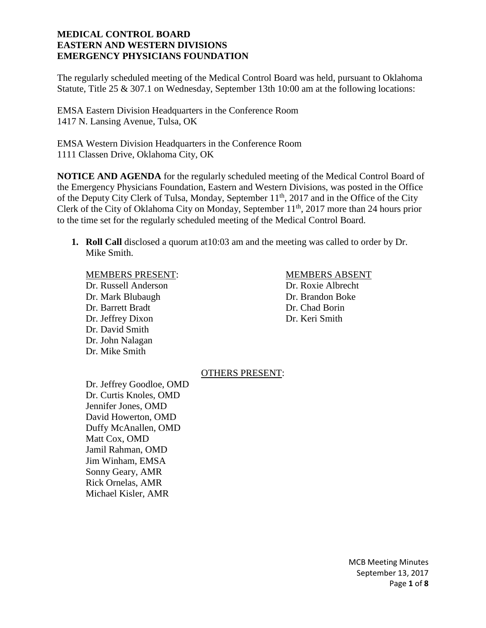The regularly scheduled meeting of the Medical Control Board was held, pursuant to Oklahoma Statute, Title 25 & 307.1 on Wednesday, September 13th 10:00 am at the following locations:

EMSA Eastern Division Headquarters in the Conference Room 1417 N. Lansing Avenue, Tulsa, OK

EMSA Western Division Headquarters in the Conference Room 1111 Classen Drive, Oklahoma City, OK

**NOTICE AND AGENDA** for the regularly scheduled meeting of the Medical Control Board of the Emergency Physicians Foundation, Eastern and Western Divisions, was posted in the Office of the Deputy City Clerk of Tulsa, Monday, September  $11<sup>th</sup>$ , 2017 and in the Office of the City Clerk of the City of Oklahoma City on Monday, September 11<sup>th</sup>, 2017 more than 24 hours prior to the time set for the regularly scheduled meeting of the Medical Control Board.

**1. Roll Call** disclosed a quorum at10:03 am and the meeting was called to order by Dr. Mike Smith.

#### MEMBERS PRESENT: MEMBERS ABSENT

Dr. Russell Anderson Dr. Roxie Albrecht Dr. Mark Blubaugh Dr. Brandon Boke Dr. Barrett Bradt Dr. Chad Borin Dr. Jeffrey Dixon Dr. Keri Smith Dr. David Smith Dr. John Nalagan Dr. Mike Smith

#### OTHERS PRESENT:

Dr. Jeffrey Goodloe, OMD Dr. Curtis Knoles, OMD Jennifer Jones, OMD David Howerton, OMD Duffy McAnallen, OMD Matt Cox, OMD Jamil Rahman, OMD Jim Winham, EMSA Sonny Geary, AMR Rick Ornelas, AMR Michael Kisler, AMR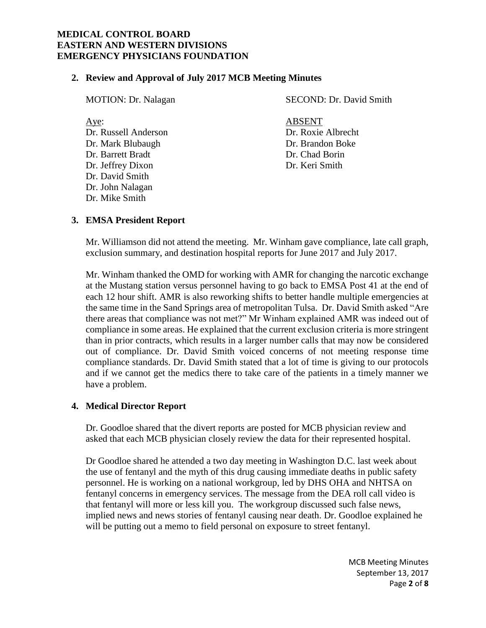#### **2. Review and Approval of July 2017 MCB Meeting Minutes**

| <b>MOTION</b> : Dr. Nalagan | SECOND: Dr. David Smith |
|-----------------------------|-------------------------|
| Aye:                        | <b>ABSENT</b>           |
| Dr. Russell Anderson        | Dr. Roxie Albrecht      |
| Dr. Mark Blubaugh           | Dr. Brandon Boke        |
| Dr. Barrett Bradt           | Dr. Chad Borin          |
| Dr. Jeffrey Dixon           | Dr. Keri Smith          |
| Dr. David Smith             |                         |
| Dr. John Nalagan            |                         |
| Dr. Mike Smith              |                         |

#### **3. EMSA President Report**

Mr. Williamson did not attend the meeting. Mr. Winham gave compliance, late call graph, exclusion summary, and destination hospital reports for June 2017 and July 2017.

Mr. Winham thanked the OMD for working with AMR for changing the narcotic exchange at the Mustang station versus personnel having to go back to EMSA Post 41 at the end of each 12 hour shift. AMR is also reworking shifts to better handle multiple emergencies at the same time in the Sand Springs area of metropolitan Tulsa. Dr. David Smith asked "Are there areas that compliance was not met?" Mr Winham explained AMR was indeed out of compliance in some areas. He explained that the current exclusion criteria is more stringent than in prior contracts, which results in a larger number calls that may now be considered out of compliance. Dr. David Smith voiced concerns of not meeting response time compliance standards. Dr. David Smith stated that a lot of time is giving to our protocols and if we cannot get the medics there to take care of the patients in a timely manner we have a problem.

#### **4. Medical Director Report**

Dr. Goodloe shared that the divert reports are posted for MCB physician review and asked that each MCB physician closely review the data for their represented hospital.

Dr Goodloe shared he attended a two day meeting in Washington D.C. last week about the use of fentanyl and the myth of this drug causing immediate deaths in public safety personnel. He is working on a national workgroup, led by DHS OHA and NHTSA on fentanyl concerns in emergency services. The message from the DEA roll call video is that fentanyl will more or less kill you. The workgroup discussed such false news, implied news and news stories of fentanyl causing near death. Dr. Goodloe explained he will be putting out a memo to field personal on exposure to street fentanyl.

> MCB Meeting Minutes September 13, 2017 Page **2** of **8**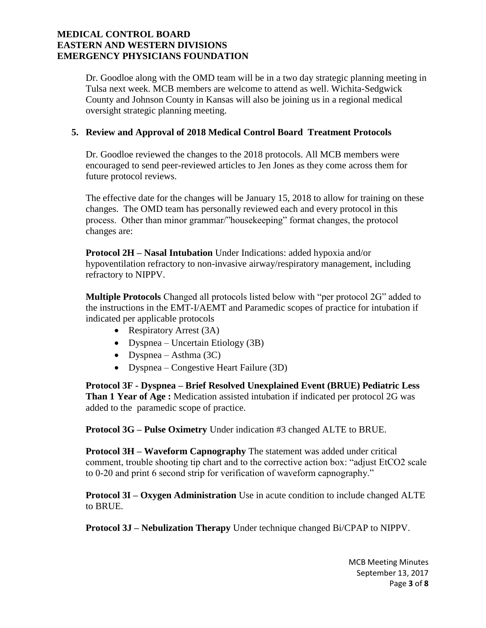Dr. Goodloe along with the OMD team will be in a two day strategic planning meeting in Tulsa next week. MCB members are welcome to attend as well. Wichita-Sedgwick County and Johnson County in Kansas will also be joining us in a regional medical oversight strategic planning meeting.

# **5. Review and Approval of 2018 Medical Control Board Treatment Protocols**

Dr. Goodloe reviewed the changes to the 2018 protocols. All MCB members were encouraged to send peer-reviewed articles to Jen Jones as they come across them for future protocol reviews.

The effective date for the changes will be January 15, 2018 to allow for training on these changes. The OMD team has personally reviewed each and every protocol in this process. Other than minor grammar/"housekeeping" format changes, the protocol changes are:

**Protocol 2H – Nasal Intubation** Under Indications: added hypoxia and/or hypoventilation refractory to non-invasive airway/respiratory management, including refractory to NIPPV.

**Multiple Protocols** Changed all protocols listed below with "per protocol 2G" added to the instructions in the EMT-I/AEMT and Paramedic scopes of practice for intubation if indicated per applicable protocols

- Respiratory Arrest (3A)
- Dyspnea Uncertain Etiology (3B)
- Dyspnea Asthma  $(3C)$
- Dyspnea Congestive Heart Failure (3D)

**Protocol 3F - Dyspnea – Brief Resolved Unexplained Event (BRUE) Pediatric Less Than 1 Year of Age :** Medication assisted intubation if indicated per protocol 2G was added to the paramedic scope of practice.

**Protocol 3G – Pulse Oximetry** Under indication #3 changed ALTE to BRUE.

**Protocol 3H – Waveform Capnography** The statement was added under critical comment, trouble shooting tip chart and to the corrective action box: "adjust EtCO2 scale to 0-20 and print 6 second strip for verification of waveform capnography."

**Protocol 3I – Oxygen Administration** Use in acute condition to include changed ALTE to BRUE.

**Protocol 3J – Nebulization Therapy** Under technique changed Bi/CPAP to NIPPV.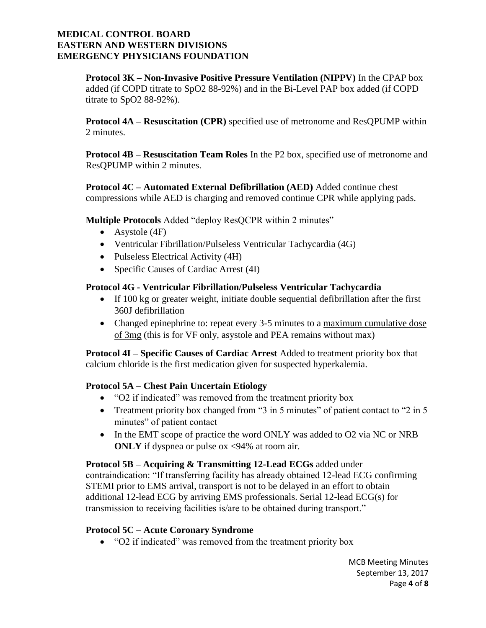**Protocol 3K – Non-Invasive Positive Pressure Ventilation (NIPPV)** In the CPAP box added (if COPD titrate to SpO2 88-92%) and in the Bi-Level PAP box added (if COPD titrate to  $SpO2 88-92%$ ).

**Protocol 4A – Resuscitation (CPR)** specified use of metronome and ResQPUMP within 2 minutes.

**Protocol 4B – Resuscitation Team Roles** In the P2 box, specified use of metronome and ResQPUMP within 2 minutes.

**Protocol 4C – Automated External Defibrillation (AED)** Added continue chest compressions while AED is charging and removed continue CPR while applying pads.

**Multiple Protocols** Added "deploy ResOCPR within 2 minutes"

- Asystole (4F)
- Ventricular Fibrillation/Pulseless Ventricular Tachycardia (4G)
- Pulseless Electrical Activity (4H)
- Specific Causes of Cardiac Arrest (4I)

# **Protocol 4G - Ventricular Fibrillation/Pulseless Ventricular Tachycardia**

- If 100 kg or greater weight, initiate double sequential defibrillation after the first 360J defibrillation
- Changed epinephrine to: repeat every 3-5 minutes to a maximum cumulative dose of 3mg (this is for VF only, asystole and PEA remains without max)

**Protocol 4I – Specific Causes of Cardiac Arrest** Added to treatment priority box that calcium chloride is the first medication given for suspected hyperkalemia.

# **Protocol 5A – Chest Pain Uncertain Etiology**

- "O2 if indicated" was removed from the treatment priority box
- Treatment priority box changed from "3 in 5 minutes" of patient contact to "2 in 5 minutes" of patient contact
- In the EMT scope of practice the word ONLY was added to O2 via NC or NRB **ONLY** if dyspnea or pulse ox <94% at room air.

**Protocol 5B – Acquiring & Transmitting 12-Lead ECGs** added under contraindication: "If transferring facility has already obtained 12-lead ECG confirming STEMI prior to EMS arrival, transport is not to be delayed in an effort to obtain additional 12-lead ECG by arriving EMS professionals. Serial 12-lead ECG(s) for transmission to receiving facilities is/are to be obtained during transport."

# **Protocol 5C – Acute Coronary Syndrome**

• "O2 if indicated" was removed from the treatment priority box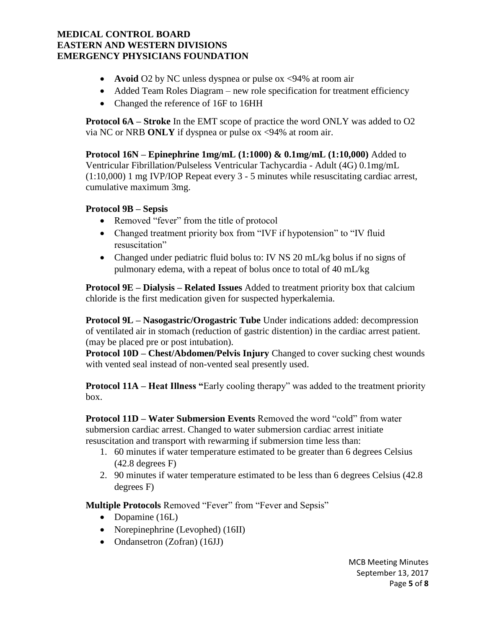- **Avoid** O2 by NC unless dyspnea or pulse ox <94% at room air
- Added Team Roles Diagram new role specification for treatment efficiency
- Changed the reference of 16F to 16HH

**Protocol 6A – Stroke** In the EMT scope of practice the word ONLY was added to O2 via NC or NRB **ONLY** if dyspnea or pulse ox <94% at room air.

**Protocol 16N – Epinephrine 1mg/mL (1:1000) & 0.1mg/mL (1:10,000)** Added to Ventricular Fibrillation/Pulseless Ventricular Tachycardia - Adult (4G) 0.1mg/mL (1:10,000) 1 mg IVP/IOP Repeat every 3 - 5 minutes while resuscitating cardiac arrest, cumulative maximum 3mg.

# **Protocol 9B – Sepsis**

- Removed "fever" from the title of protocol
- Changed treatment priority box from "IVF if hypotension" to "IV fluid resuscitation"
- Changed under pediatric fluid bolus to: IV NS 20 mL/kg bolus if no signs of pulmonary edema, with a repeat of bolus once to total of 40 mL/kg

**Protocol 9E – Dialysis – Related Issues** Added to treatment priority box that calcium chloride is the first medication given for suspected hyperkalemia.

**Protocol 9L – Nasogastric/Orogastric Tube** Under indications added: decompression of ventilated air in stomach (reduction of gastric distention) in the cardiac arrest patient. (may be placed pre or post intubation).

**Protocol 10D – Chest/Abdomen/Pelvis Injury** Changed to cover sucking chest wounds with vented seal instead of non-vented seal presently used.

**Protocol 11A – Heat Illness "**Early cooling therapy" was added to the treatment priority box.

**Protocol 11D – Water Submersion Events** Removed the word "cold" from water submersion cardiac arrest. Changed to water submersion cardiac arrest initiate resuscitation and transport with rewarming if submersion time less than:

- 1. 60 minutes if water temperature estimated to be greater than 6 degrees Celsius (42.8 degrees F)
- 2. 90 minutes if water temperature estimated to be less than 6 degrees Celsius (42.8 degrees F)

**Multiple Protocols** Removed "Fever" from "Fever and Sepsis"

- Dopamine (16L)
- Norepinephrine (Levophed) (16II)
- Ondansetron (Zofran) (16JJ)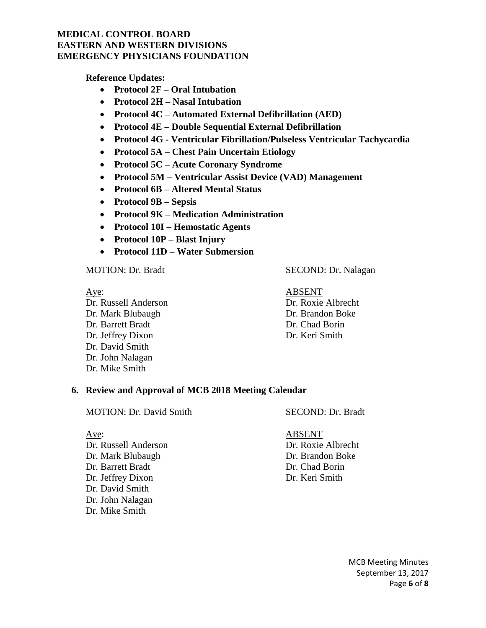**Reference Updates:**

- **Protocol 2F – Oral Intubation**
- **Protocol 2H – Nasal Intubation**
- **Protocol 4C – Automated External Defibrillation (AED)**
- **Protocol 4E – Double Sequential External Defibrillation**
- **Protocol 4G - Ventricular Fibrillation/Pulseless Ventricular Tachycardia**
- **Protocol 5A – Chest Pain Uncertain Etiology**
- **Protocol 5C – Acute Coronary Syndrome**
- **Protocol 5M – Ventricular Assist Device (VAD) Management**
- **Protocol 6B – Altered Mental Status**
- **Protocol 9B – Sepsis**
- **Protocol 9K – Medication Administration**
- **Protocol 10I – Hemostatic Agents**
- **Protocol 10P – Blast Injury**
- **Protocol 11D – Water Submersion**

MOTION: Dr. Bradt SECOND: Dr. Nalagan

Aye: ABSENT Dr. Russell Anderson Dr. Roxie Albrecht Dr. Mark Blubaugh Dr. Brandon Boke Dr. Barrett Bradt Dr. Chad Borin Dr. Jeffrey Dixon Dr. Keri Smith Dr. David Smith Dr. John Nalagan Dr. Mike Smith

#### **6. Review and Approval of MCB 2018 Meeting Calendar**

MOTION: Dr. David Smith SECOND: Dr. Bradt

Dr. Russell Anderson Dr. Roxie Albrecht Dr. Mark Blubaugh Dr. Brandon Boke Dr. Barrett Bradt Dr. Chad Borin Dr. Jeffrey Dixon Dr. Keri Smith Dr. David Smith Dr. John Nalagan Dr. Mike Smith

Aye: ABSENT

MCB Meeting Minutes September 13, 2017 Page **6** of **8**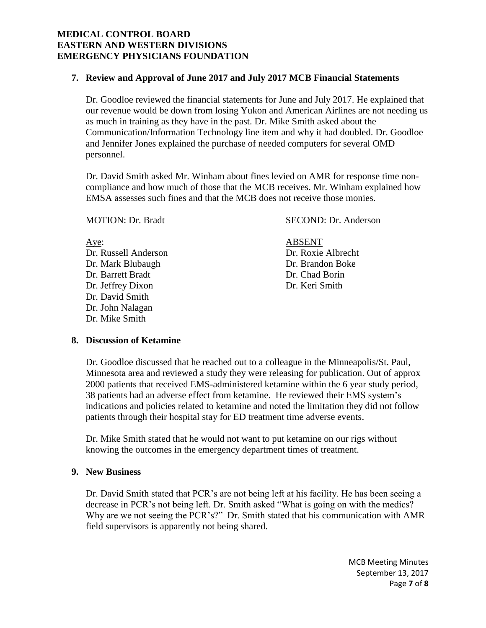### **7. Review and Approval of June 2017 and July 2017 MCB Financial Statements**

Dr. Goodloe reviewed the financial statements for June and July 2017. He explained that our revenue would be down from losing Yukon and American Airlines are not needing us as much in training as they have in the past. Dr. Mike Smith asked about the Communication/Information Technology line item and why it had doubled. Dr. Goodloe and Jennifer Jones explained the purchase of needed computers for several OMD personnel.

Dr. David Smith asked Mr. Winham about fines levied on AMR for response time noncompliance and how much of those that the MCB receives. Mr. Winham explained how EMSA assesses such fines and that the MCB does not receive those monies.

MOTION: Dr. Bradt SECOND: Dr. Anderson

Aye: ABSENT Dr. Russell Anderson Dr. Roxie Albrecht Dr. Mark Blubaugh Dr. Brandon Boke Dr. Barrett Bradt Dr. Chad Borin Dr. Jeffrey Dixon Dr. Keri Smith Dr. David Smith Dr. John Nalagan Dr. Mike Smith

#### **8. Discussion of Ketamine**

Dr. Goodloe discussed that he reached out to a colleague in the Minneapolis/St. Paul, Minnesota area and reviewed a study they were releasing for publication. Out of approx 2000 patients that received EMS-administered ketamine within the 6 year study period, 38 patients had an adverse effect from ketamine. He reviewed their EMS system's indications and policies related to ketamine and noted the limitation they did not follow patients through their hospital stay for ED treatment time adverse events.

Dr. Mike Smith stated that he would not want to put ketamine on our rigs without knowing the outcomes in the emergency department times of treatment.

#### **9. New Business**

Dr. David Smith stated that PCR's are not being left at his facility. He has been seeing a decrease in PCR's not being left. Dr. Smith asked "What is going on with the medics? Why are we not seeing the PCR's?" Dr. Smith stated that his communication with AMR field supervisors is apparently not being shared.

> MCB Meeting Minutes September 13, 2017 Page **7** of **8**